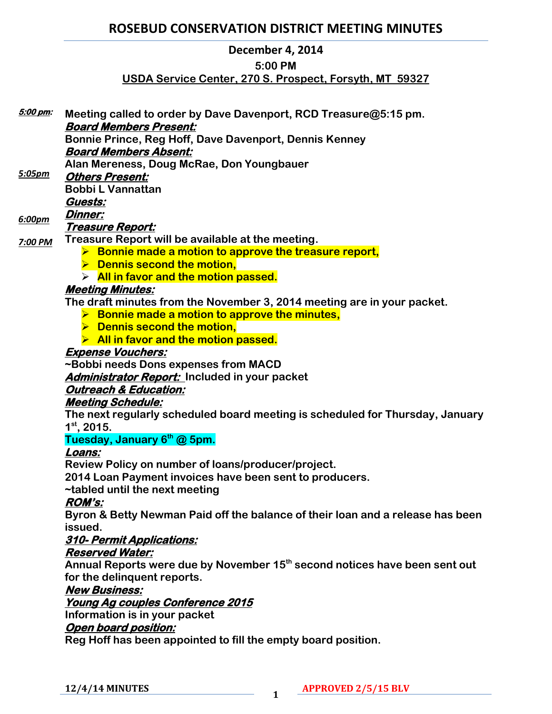# **ROSEBUD CONSERVATION DISTRICT MEETING MINUTES**

# **December 4, 2014**

# **5:00 PM**

# **USDA Service Center, 270 S. Prospect, Forsyth, MT 59327**

| <u>5:00 pm:</u> | Meeting called to order by Dave Davenport, RCD Treasure@5:15 pm.                       |
|-----------------|----------------------------------------------------------------------------------------|
|                 | <b>Board Members Present:</b>                                                          |
|                 | Bonnie Prince, Reg Hoff, Dave Davenport, Dennis Kenney                                 |
|                 | <b>Board Members Absent:</b>                                                           |
|                 | Alan Mereness, Doug McRae, Don Youngbauer                                              |
| 5:05pm          | <b>Others Present:</b>                                                                 |
|                 | <b>Bobbi L Vannattan</b>                                                               |
|                 | Guests:                                                                                |
|                 | <b>Dinner:</b>                                                                         |
| 6:00pm          | <u> Treasure Report:</u>                                                               |
| 7:00 PM         | Treasure Report will be available at the meeting.                                      |
|                 | $\triangleright$ Bonnie made a motion to approve the treasure report,                  |
|                 | $\triangleright$ Dennis second the motion,                                             |
|                 | $\triangleright$ All in favor and the motion passed.                                   |
|                 | <b>Meeting Minutes:</b>                                                                |
|                 | The draft minutes from the November 3, 2014 meeting are in your packet.                |
|                 | $\triangleright$ Bonnie made a motion to approve the minutes,                          |
|                 | $\triangleright$ Dennis second the motion,                                             |
|                 | > All in favor and the motion passed.                                                  |
|                 | <b>Expense Vouchers:</b>                                                               |
|                 | ~Bobbi needs Dons expenses from MACD                                                   |
|                 | <b>Administrator Report:</b> Included in your packet                                   |
|                 | <b>Outreach &amp; Education:</b>                                                       |
|                 | <b>Meeting Schedule:</b>                                                               |
|                 | The next regularly scheduled board meeting is scheduled for Thursday, January          |
|                 | $1st$ , 2015.                                                                          |
|                 | Tuesday, January 6 <sup>th</sup> @ 5pm.                                                |
|                 | Loans:                                                                                 |
|                 | Review Policy on number of loans/producer/project.                                     |
|                 | 2014 Loan Payment invoices have been sent to producers.                                |
|                 | ~tabled until the next meeting                                                         |
|                 | <b>ROM's:</b>                                                                          |
|                 | Byron & Betty Newman Paid off the balance of their loan and a release has been         |
|                 | issued.                                                                                |
|                 | 310- Permit Applications:                                                              |
|                 | <b>Reserved Water:</b>                                                                 |
|                 | Annual Reports were due by November 15 <sup>th</sup> second notices have been sent out |
|                 | for the delinquent reports.                                                            |
|                 | <b>New Business:</b>                                                                   |
|                 | Young Ag couples Conference 2015                                                       |
|                 | Information is in your packet                                                          |
|                 | Open board position:                                                                   |
|                 | Reg Hoff has been appointed to fill the empty board position.                          |